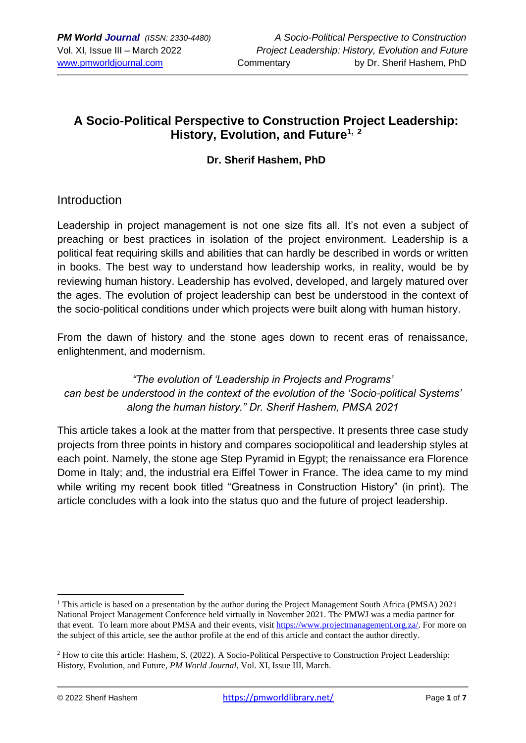### **A Socio-Political Perspective to Construction Project Leadership: History, Evolution, and Future1, <sup>2</sup>**

#### **Dr. Sherif Hashem, PhD**

#### Introduction

Leadership in project management is not one size fits all. It's not even a subject of preaching or best practices in isolation of the project environment. Leadership is a political feat requiring skills and abilities that can hardly be described in words or written in books. The best way to understand how leadership works, in reality, would be by reviewing human history. Leadership has evolved, developed, and largely matured over the ages. The evolution of project leadership can best be understood in the context of the socio-political conditions under which projects were built along with human history.

From the dawn of history and the stone ages down to recent eras of renaissance, enlightenment, and modernism.

*"The evolution of 'Leadership in Projects and Programs' can best be understood in the context of the evolution of the 'Socio-political Systems' along the human history." Dr. Sherif Hashem, PMSA 2021*

This article takes a look at the matter from that perspective. It presents three case study projects from three points in history and compares sociopolitical and leadership styles at each point. Namely, the stone age Step Pyramid in Egypt; the renaissance era Florence Dome in Italy; and, the industrial era Eiffel Tower in France. The idea came to my mind while writing my recent book titled "Greatness in Construction History" (in print). The article concludes with a look into the status quo and the future of project leadership.

<sup>&</sup>lt;sup>1</sup> This article is based on a presentation by the author during the Project Management South Africa (PMSA) 2021 National Project Management Conference held virtually in November 2021. The PMWJ was a media partner for that event. To learn more about PMSA and their events, visit [https://www.projectmanagement.org.za/.](https://www.projectmanagement.org.za/) For more on the subject of this article, see the author profile at the end of this article and contact the author directly.

<sup>2</sup> How to cite this article: Hashem, S. (2022). A Socio-Political Perspective to Construction Project Leadership: History, Evolution, and Future, *PM World Journal*, Vol. XI, Issue III, March.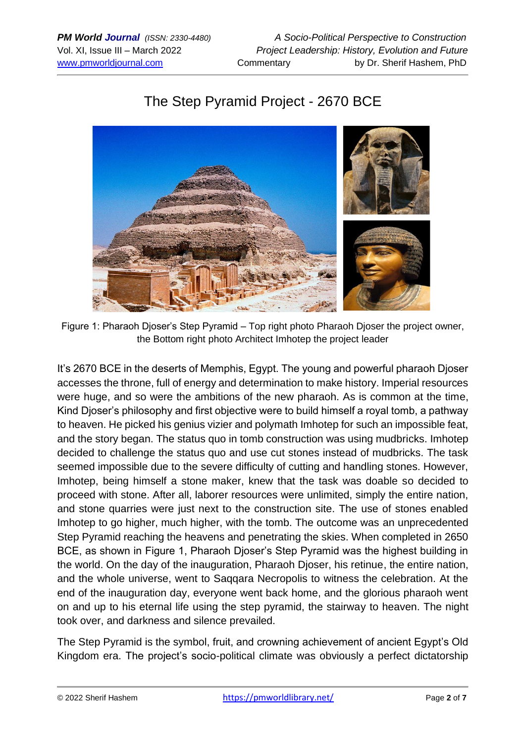# The Step Pyramid Project - 2670 BCE



Figure 1: Pharaoh Djoser's Step Pyramid – Top right photo Pharaoh Djoser the project owner, the Bottom right photo Architect Imhotep the project leader

It's 2670 BCE in the deserts of Memphis, Egypt. The young and powerful pharaoh Djoser accesses the throne, full of energy and determination to make history. Imperial resources were huge, and so were the ambitions of the new pharaoh. As is common at the time, Kind Djoser's philosophy and first objective were to build himself a royal tomb, a pathway to heaven. He picked his genius vizier and polymath Imhotep for such an impossible feat, and the story began. The status quo in tomb construction was using mudbricks. Imhotep decided to challenge the status quo and use cut stones instead of mudbricks. The task seemed impossible due to the severe difficulty of cutting and handling stones. However, Imhotep, being himself a stone maker, knew that the task was doable so decided to proceed with stone. After all, laborer resources were unlimited, simply the entire nation, and stone quarries were just next to the construction site. The use of stones enabled Imhotep to go higher, much higher, with the tomb. The outcome was an unprecedented Step Pyramid reaching the heavens and penetrating the skies. When completed in 2650 BCE, as shown in Figure 1, Pharaoh Djoser's Step Pyramid was the highest building in the world. On the day of the inauguration, Pharaoh Djoser, his retinue, the entire nation, and the whole universe, went to Saqqara Necropolis to witness the celebration. At the end of the inauguration day, everyone went back home, and the glorious pharaoh went on and up to his eternal life using the step pyramid, the stairway to heaven. The night took over, and darkness and silence prevailed.

The Step Pyramid is the symbol, fruit, and crowning achievement of ancient Egypt's Old Kingdom era. The project's socio-political climate was obviously a perfect dictatorship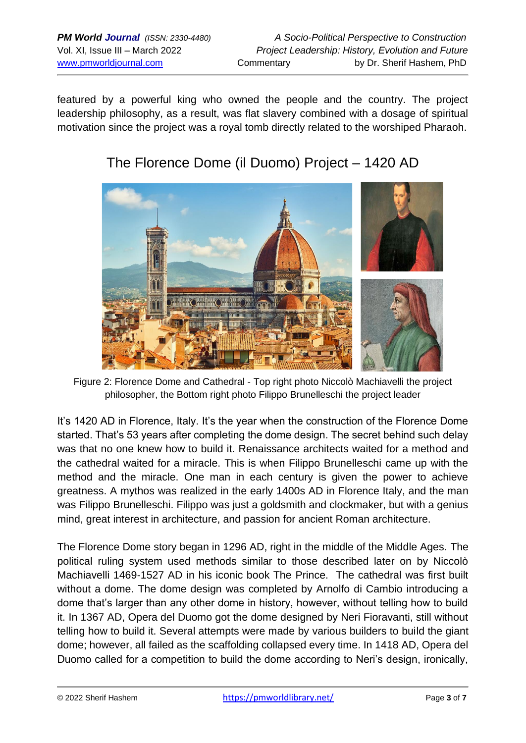featured by a powerful king who owned the people and the country. The project leadership philosophy, as a result, was flat slavery combined with a dosage of spiritual motivation since the project was a royal tomb directly related to the worshiped Pharaoh.



## The Florence Dome (il Duomo) Project – 1420 AD

Figure 2: Florence Dome and Cathedral - Top right photo Niccolò Machiavelli the project philosopher, the Bottom right photo Filippo Brunelleschi the project leader

It's 1420 AD in Florence, Italy. It's the year when the construction of the Florence Dome started. That's 53 years after completing the dome design. The secret behind such delay was that no one knew how to build it. Renaissance architects waited for a method and the cathedral waited for a miracle. This is when Filippo Brunelleschi came up with the method and the miracle. One man in each century is given the power to achieve greatness. A mythos was realized in the early 1400s AD in Florence Italy, and the man was Filippo Brunelleschi. Filippo was just a goldsmith and clockmaker, but with a genius mind, great interest in architecture, and passion for ancient Roman architecture.

The Florence Dome story began in 1296 AD, right in the middle of the Middle Ages. The political ruling system used methods similar to those described later on by Niccolò Machiavelli 1469-1527 AD in his iconic book The Prince. The cathedral was first built without a dome. The dome design was completed by Arnolfo di Cambio introducing a dome that's larger than any other dome in history, however, without telling how to build it. In 1367 AD, Opera del Duomo got the dome designed by Neri Fioravanti, still without telling how to build it. Several attempts were made by various builders to build the giant dome; however, all failed as the scaffolding collapsed every time. In 1418 AD, Opera del Duomo called for a competition to build the dome according to Neri's design, ironically,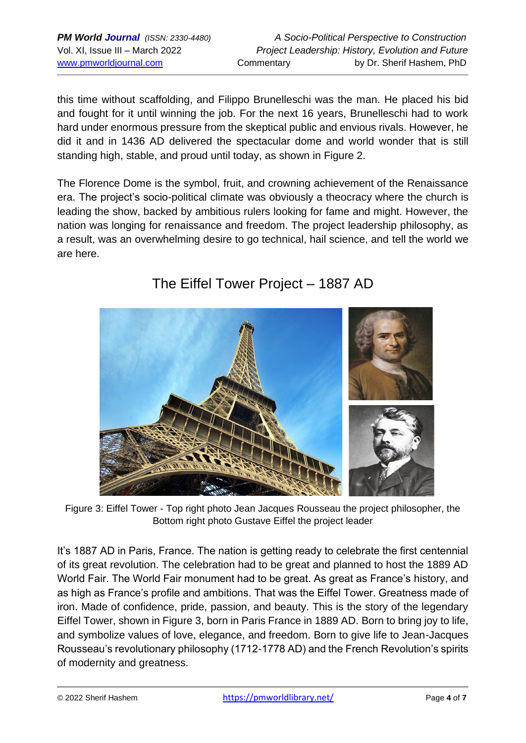this time without scaffolding, and Filippo Brunelleschi was the man. He placed his bid and fought for it until winning the job. For the next 16 years, Brunelleschi had to work hard under enormous pressure from the skeptical public and envious rivals. However, he did it and in 1436 AD delivered the spectacular dome and world wonder that is still standing high, stable, and proud until today, as shown in Figure 2.

The Florence Dome is the symbol, fruit, and crowning achievement of the Renaissance era. The project's socio-political climate was obviously a theocracy where the church is leading the show, backed by ambitious rulers looking for fame and might. However, the nation was longing for renaissance and freedom. The project leadership philosophy, as a result, was an overwhelming desire to go technical, hail science, and tell the world we are here.



## The Eiffel Tower Project – 1887 AD

Figure 3: Eiffel Tower - Top right photo Jean Jacques Rousseau the project philosopher, the Bottom right photo Gustave Eiffel the project leader

It's 1887 AD in Paris, France. The nation is getting ready to celebrate the first centennial of its great revolution. The celebration had to be great and planned to host the 1889 AD World Fair. The World Fair monument had to be great. As great as France's history, and as high as France's profile and ambitions. That was the Eiffel Tower. Greatness made of iron. Made of confidence, pride, passion, and beauty. This is the story of the legendary Eiffel Tower, shown in Figure 3, born in Paris France in 1889 AD. Born to bring joy to life, and symbolize values of love, elegance, and freedom. Born to give life to Jean-Jacques Rousseau's revolutionary philosophy (1712-1778 AD) and the French Revolution's spirits of modernity and greatness.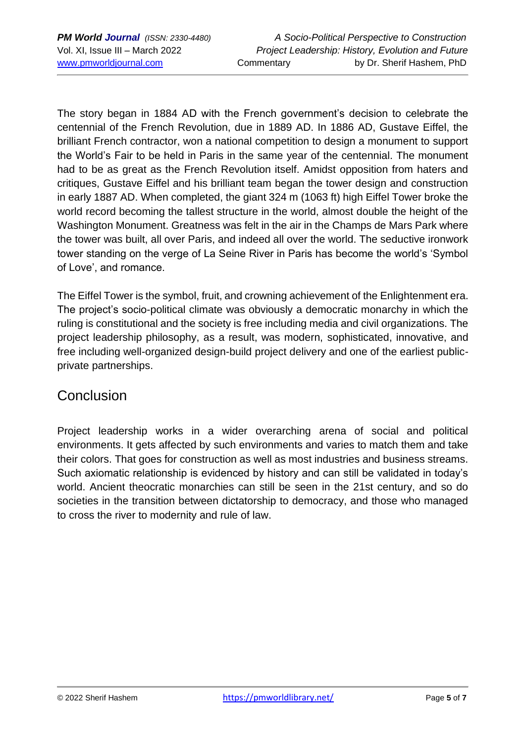The story began in 1884 AD with the French government's decision to celebrate the centennial of the French Revolution, due in 1889 AD. In 1886 AD, Gustave Eiffel, the brilliant French contractor, won a national competition to design a monument to support the World's Fair to be held in Paris in the same year of the centennial. The monument had to be as great as the French Revolution itself. Amidst opposition from haters and critiques, Gustave Eiffel and his brilliant team began the tower design and construction in early 1887 AD. When completed, the giant 324 m (1063 ft) high Eiffel Tower broke the world record becoming the tallest structure in the world, almost double the height of the Washington Monument. Greatness was felt in the air in the Champs de Mars Park where the tower was built, all over Paris, and indeed all over the world. The seductive ironwork tower standing on the verge of La Seine River in Paris has become the world's 'Symbol of Love', and romance.

The Eiffel Tower is the symbol, fruit, and crowning achievement of the Enlightenment era. The project's socio-political climate was obviously a democratic monarchy in which the ruling is constitutional and the society is free including media and civil organizations. The project leadership philosophy, as a result, was modern, sophisticated, innovative, and free including well-organized design-build project delivery and one of the earliest publicprivate partnerships.

## **Conclusion**

Project leadership works in a wider overarching arena of social and political environments. It gets affected by such environments and varies to match them and take their colors. That goes for construction as well as most industries and business streams. Such axiomatic relationship is evidenced by history and can still be validated in today's world. Ancient theocratic monarchies can still be seen in the 21st century, and so do societies in the transition between dictatorship to democracy, and those who managed to cross the river to modernity and rule of law.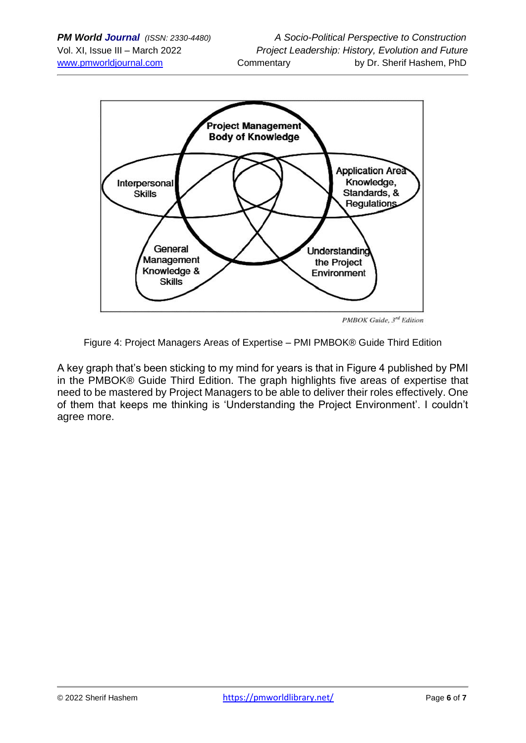

PMBOK Guide, 3rd Edition

Figure 4: Project Managers Areas of Expertise – PMI PMBOK® Guide Third Edition

A key graph that's been sticking to my mind for years is that in Figure 4 published by PMI in the PMBOK® Guide Third Edition. The graph highlights five areas of expertise that need to be mastered by Project Managers to be able to deliver their roles effectively. One of them that keeps me thinking is 'Understanding the Project Environment'. I couldn't agree more.